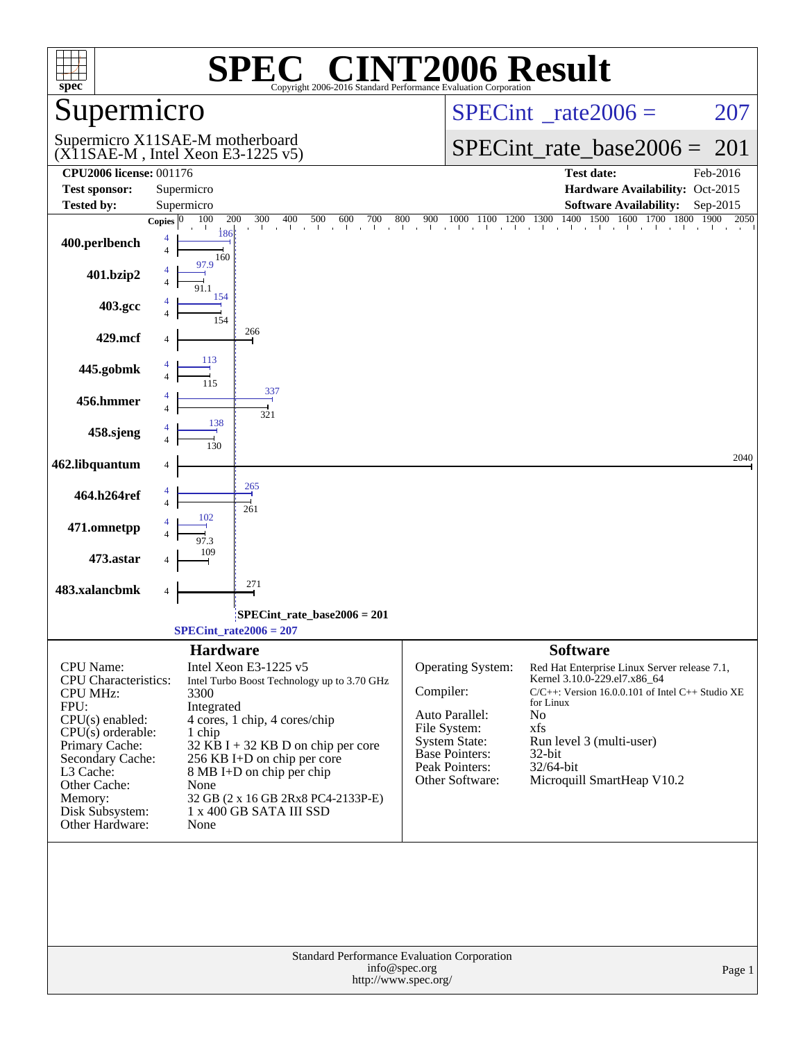| spec <sup>®</sup>                                                                                                                                                                                                            |                                                                                                                                                                                                                                                                                                                                               | <b>NT2006 Result</b><br>Copyright 2006-2016 Standard Performance Evaluation Corporation                                                                                                                                                                                                                                                                                                                                          |
|------------------------------------------------------------------------------------------------------------------------------------------------------------------------------------------------------------------------------|-----------------------------------------------------------------------------------------------------------------------------------------------------------------------------------------------------------------------------------------------------------------------------------------------------------------------------------------------|----------------------------------------------------------------------------------------------------------------------------------------------------------------------------------------------------------------------------------------------------------------------------------------------------------------------------------------------------------------------------------------------------------------------------------|
| Supermicro                                                                                                                                                                                                                   |                                                                                                                                                                                                                                                                                                                                               | $SPECint^{\circ}$ rate $2006 =$<br>207                                                                                                                                                                                                                                                                                                                                                                                           |
|                                                                                                                                                                                                                              | Supermicro X11SAE-M motherboard<br>$(X11SAE-M, Intel Xeon E3-1225 v5)$                                                                                                                                                                                                                                                                        | $SPECint_rate\_base2006 =$<br>-201                                                                                                                                                                                                                                                                                                                                                                                               |
| <b>CPU2006 license: 001176</b>                                                                                                                                                                                               |                                                                                                                                                                                                                                                                                                                                               | <b>Test date:</b><br>Feb-2016                                                                                                                                                                                                                                                                                                                                                                                                    |
| <b>Test sponsor:</b>                                                                                                                                                                                                         | Supermicro                                                                                                                                                                                                                                                                                                                                    | Hardware Availability: Oct-2015                                                                                                                                                                                                                                                                                                                                                                                                  |
| <b>Tested by:</b>                                                                                                                                                                                                            | Supermicro<br>100<br>200<br>300<br>400<br>500<br>600<br>700<br>Copies $ 0$                                                                                                                                                                                                                                                                    | <b>Software Availability:</b><br>Sep-2015<br>1400<br>1500<br>1600<br>900<br>1700 1800<br>1900<br>2050<br>800                                                                                                                                                                                                                                                                                                                     |
| 400.perlbench                                                                                                                                                                                                                | 186<br>4<br>$\overline{4}$<br>160                                                                                                                                                                                                                                                                                                             | $1000$ $1100$ $1200$ $1300$ 1<br>$\mathbf{I}$                                                                                                                                                                                                                                                                                                                                                                                    |
| 401.bzip2                                                                                                                                                                                                                    | 154                                                                                                                                                                                                                                                                                                                                           |                                                                                                                                                                                                                                                                                                                                                                                                                                  |
| 403.gcc                                                                                                                                                                                                                      | $\frac{1}{154}$                                                                                                                                                                                                                                                                                                                               |                                                                                                                                                                                                                                                                                                                                                                                                                                  |
| 429.mcf                                                                                                                                                                                                                      | 266<br>113                                                                                                                                                                                                                                                                                                                                    |                                                                                                                                                                                                                                                                                                                                                                                                                                  |
| 445.gobmk                                                                                                                                                                                                                    | 337                                                                                                                                                                                                                                                                                                                                           |                                                                                                                                                                                                                                                                                                                                                                                                                                  |
| 456.hmmer                                                                                                                                                                                                                    | 4<br>321<br>138                                                                                                                                                                                                                                                                                                                               |                                                                                                                                                                                                                                                                                                                                                                                                                                  |
| 458.sjeng                                                                                                                                                                                                                    |                                                                                                                                                                                                                                                                                                                                               | 2040                                                                                                                                                                                                                                                                                                                                                                                                                             |
| 462.libquantum                                                                                                                                                                                                               | 4                                                                                                                                                                                                                                                                                                                                             |                                                                                                                                                                                                                                                                                                                                                                                                                                  |
| 464.h264ref                                                                                                                                                                                                                  | 265<br>261                                                                                                                                                                                                                                                                                                                                    |                                                                                                                                                                                                                                                                                                                                                                                                                                  |
| 471.omnetpp                                                                                                                                                                                                                  |                                                                                                                                                                                                                                                                                                                                               |                                                                                                                                                                                                                                                                                                                                                                                                                                  |
| 473.astar                                                                                                                                                                                                                    | 271                                                                                                                                                                                                                                                                                                                                           |                                                                                                                                                                                                                                                                                                                                                                                                                                  |
| 483.xalancbmk                                                                                                                                                                                                                | 4                                                                                                                                                                                                                                                                                                                                             |                                                                                                                                                                                                                                                                                                                                                                                                                                  |
|                                                                                                                                                                                                                              | $SPECint_rate_base2006 = 201$<br>$SPECint_rate2006 = 207$                                                                                                                                                                                                                                                                                     |                                                                                                                                                                                                                                                                                                                                                                                                                                  |
| CPU Name:<br>CPU Characteristics:<br><b>CPU MHz:</b><br>FPU:<br>$CPU(s)$ enabled:<br>$CPU(s)$ orderable:<br>Primary Cache:<br>Secondary Cache:<br>L3 Cache:<br>Other Cache:<br>Memory:<br>Disk Subsystem:<br>Other Hardware: | <b>Hardware</b><br>Intel Xeon E3-1225 v5<br>Intel Turbo Boost Technology up to 3.70 GHz<br>3300<br>Integrated<br>4 cores, 1 chip, 4 cores/chip<br>1 chip<br>$32$ KB I + 32 KB D on chip per core<br>256 KB I+D on chip per core<br>8 MB I+D on chip per chip<br>None<br>32 GB (2 x 16 GB 2Rx8 PC4-2133P-E)<br>1 x 400 GB SATA III SSD<br>None | <b>Software</b><br>Operating System:<br>Red Hat Enterprise Linux Server release 7.1,<br>Kernel 3.10.0-229.el7.x86_64<br>Compiler:<br>$C/C++$ : Version 16.0.0.101 of Intel $C++$ Studio XE<br>for Linux<br>Auto Parallel:<br>No<br>File System:<br>xfs<br><b>System State:</b><br>Run level 3 (multi-user)<br><b>Base Pointers:</b><br>$32$ -bit<br>Peak Pointers:<br>32/64-bit<br>Other Software:<br>Microquill SmartHeap V10.2 |
|                                                                                                                                                                                                                              |                                                                                                                                                                                                                                                                                                                                               | Standard Performance Evaluation Corporation<br>info@spec.org<br>Page 1<br>http://www.spec.org/                                                                                                                                                                                                                                                                                                                                   |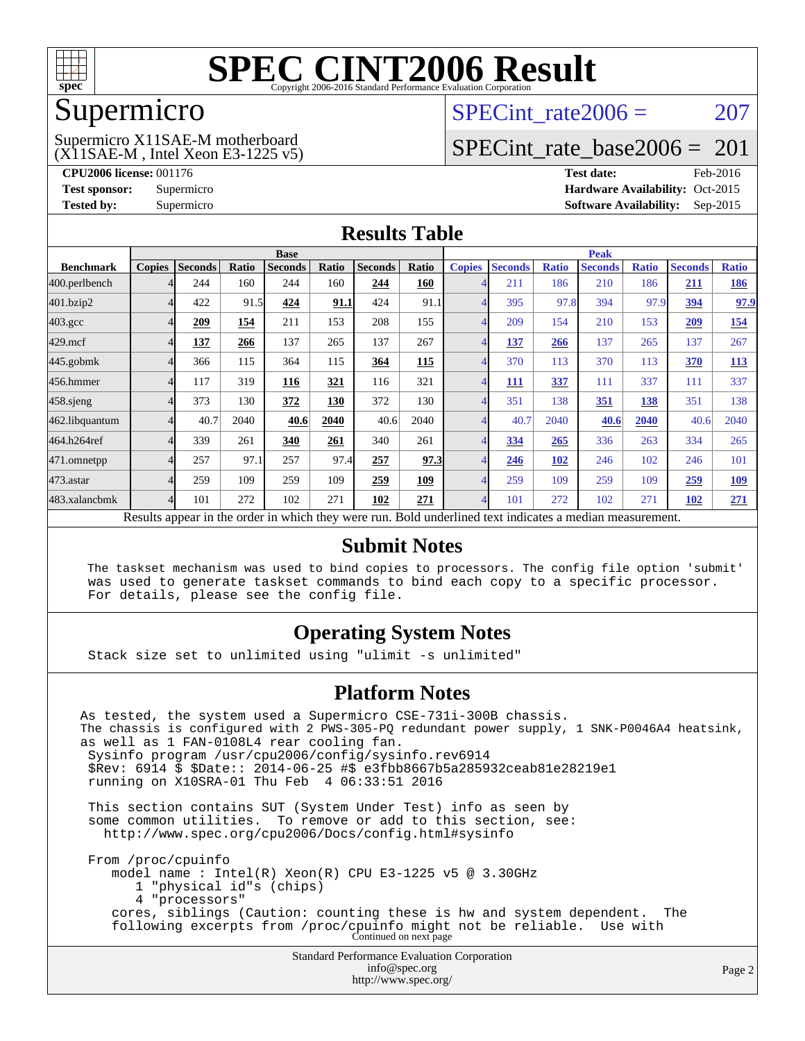

### Supermicro

### (X11SAE-M , Intel Xeon E3-1225 v5) Supermicro X11SAE-M motherboard

SPECint rate $2006 = 207$ 

### [SPECint\\_rate\\_base2006 =](http://www.spec.org/auto/cpu2006/Docs/result-fields.html#SPECintratebase2006)  $201$

**[CPU2006 license:](http://www.spec.org/auto/cpu2006/Docs/result-fields.html#CPU2006license)** 001176 **[Test date:](http://www.spec.org/auto/cpu2006/Docs/result-fields.html#Testdate)** Feb-2016 **[Test sponsor:](http://www.spec.org/auto/cpu2006/Docs/result-fields.html#Testsponsor)** Supermicro Supermicro **[Hardware Availability:](http://www.spec.org/auto/cpu2006/Docs/result-fields.html#HardwareAvailability)** Oct-2015 **[Tested by:](http://www.spec.org/auto/cpu2006/Docs/result-fields.html#Testedby)** Supermicro **Supermicro [Software Availability:](http://www.spec.org/auto/cpu2006/Docs/result-fields.html#SoftwareAvailability)** Sep-2015

### **[Results Table](http://www.spec.org/auto/cpu2006/Docs/result-fields.html#ResultsTable)**

|                                                                                                          |               | <b>Base</b>    |       |                |       |                |       | <b>Peak</b>    |                |              |                |              |                |              |
|----------------------------------------------------------------------------------------------------------|---------------|----------------|-------|----------------|-------|----------------|-------|----------------|----------------|--------------|----------------|--------------|----------------|--------------|
| <b>Benchmark</b>                                                                                         | <b>Copies</b> | <b>Seconds</b> | Ratio | <b>Seconds</b> | Ratio | <b>Seconds</b> | Ratio | <b>Copies</b>  | <b>Seconds</b> | <b>Ratio</b> | <b>Seconds</b> | <b>Ratio</b> | <b>Seconds</b> | <b>Ratio</b> |
| 400.perlbench                                                                                            |               | 244            | 160   | 244            | 160   | 244            | 160   | 4              | 211            | 186          | 210            | 186          | 211            | <b>186</b>   |
| 401.bzip2                                                                                                |               | 422            | 91.5  | 424            | 91.1  | 424            | 91.1  | 4              | 395            | 97.8         | 394            | 97.9         | 394            | 97.9         |
| $403.\mathrm{gcc}$                                                                                       |               | 209            | 154   | 211            | 153   | 208            | 155   | $\overline{4}$ | 209            | 154          | 210            | 153          | 209            | <u>154</u>   |
| $429$ .mcf                                                                                               |               | 137            | 266   | 137            | 265   | 137            | 267   | 4              | 137            | 266          | 137            | 265          | 137            | 267          |
| $445$ .gobmk                                                                                             |               | 366            | 115   | 364            | 115   | 364            | 115   | $\overline{4}$ | 370            | 113          | 370            | 113          | <b>370</b>     | <b>113</b>   |
| 456.hmmer                                                                                                |               | 117            | 319   | 116            | 321   | 116            | 321   | 4              | 111            | 337          | 111            | 337          | 111            | 337          |
| $458$ .sjeng                                                                                             |               | 373            | 130   | 372            | 130   | 372            | 130   | $\overline{4}$ | 351            | 138          | 351            | 138          | 351            | 138          |
| 462.libquantum                                                                                           |               | 40.7           | 2040  | 40.6           | 2040  | 40.6           | 2040  | 4              | 40.7           | 2040         | 40.6           | 2040         | 40.6           | 2040         |
| 464.h264ref                                                                                              |               | 339            | 261   | 340            | 261   | 340            | 261   | $\overline{4}$ | 334            | 265          | 336            | 263          | 334            | 265          |
| 471.omnetpp                                                                                              |               | 257            | 97.1  | 257            | 97.4  | 257            | 97.3  | 4              | 246            | <b>102</b>   | 246            | 102          | 246            | 101          |
| 473.astar                                                                                                |               | 259            | 109   | 259            | 109   | 259            | 109   | $\overline{4}$ | 259            | 109          | 259            | 109          | 259            | <u>109</u>   |
| 483.xalancbmk                                                                                            |               | 101            | 272   | 102            | 271   | 102            | 271   | $\overline{4}$ | 101            | 272          | 102            | 271          | 102            | 271          |
| Results appear in the order in which they were run. Bold underlined text indicates a median measurement. |               |                |       |                |       |                |       |                |                |              |                |              |                |              |

### **[Submit Notes](http://www.spec.org/auto/cpu2006/Docs/result-fields.html#SubmitNotes)**

 The taskset mechanism was used to bind copies to processors. The config file option 'submit' was used to generate taskset commands to bind each copy to a specific processor. For details, please see the config file.

### **[Operating System Notes](http://www.spec.org/auto/cpu2006/Docs/result-fields.html#OperatingSystemNotes)**

Stack size set to unlimited using "ulimit -s unlimited"

### **[Platform Notes](http://www.spec.org/auto/cpu2006/Docs/result-fields.html#PlatformNotes)**

Standard Performance Evaluation Corporation [info@spec.org](mailto:info@spec.org) As tested, the system used a Supermicro CSE-731i-300B chassis. The chassis is configured with 2 PWS-305-PQ redundant power supply, 1 SNK-P0046A4 heatsink, as well as 1 FAN-0108L4 rear cooling fan. Sysinfo program /usr/cpu2006/config/sysinfo.rev6914 \$Rev: 6914 \$ \$Date:: 2014-06-25 #\$ e3fbb8667b5a285932ceab81e28219e1 running on X10SRA-01 Thu Feb 4 06:33:51 2016 This section contains SUT (System Under Test) info as seen by some common utilities. To remove or add to this section, see: <http://www.spec.org/cpu2006/Docs/config.html#sysinfo> From /proc/cpuinfo model name : Intel(R) Xeon(R) CPU E3-1225 v5 @ 3.30GHz 1 "physical id"s (chips) 4 "processors" cores, siblings (Caution: counting these is hw and system dependent. The following excerpts from /proc/cpuinfo might not be reliable. Use with Continued on next page

<http://www.spec.org/>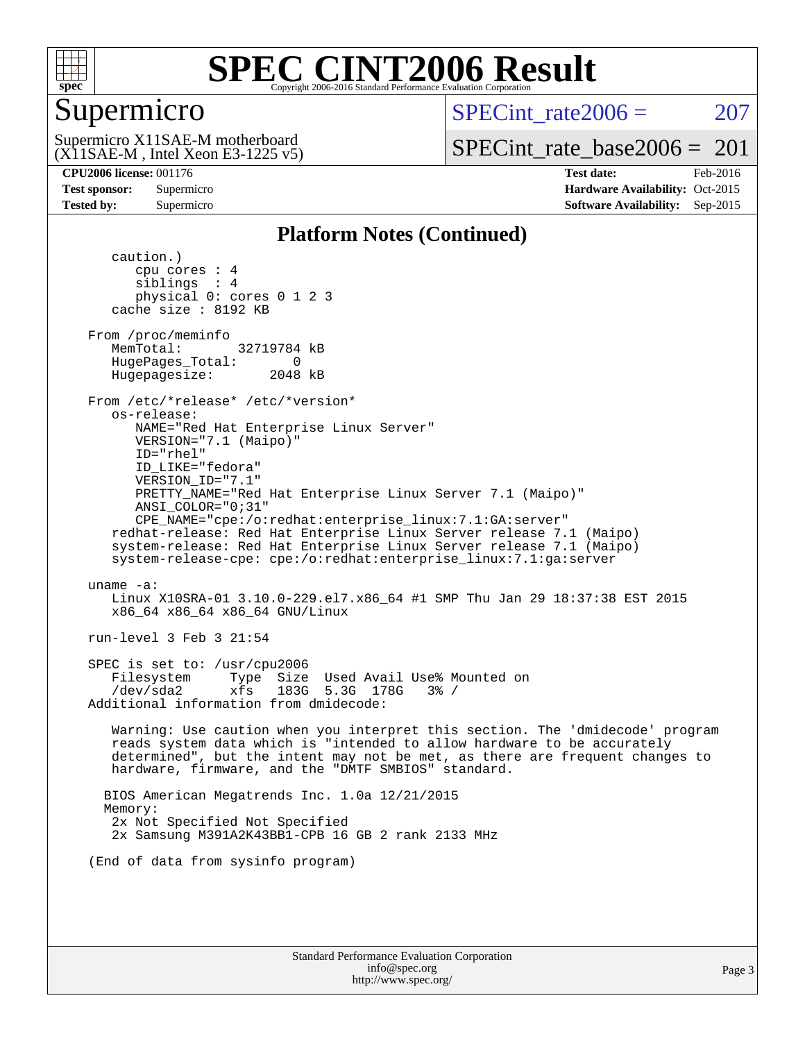

### Supermicro

SPECint rate $2006 = 207$ 

(X11SAE-M , Intel Xeon E3-1225 v5) Supermicro X11SAE-M motherboard

[SPECint\\_rate\\_base2006 =](http://www.spec.org/auto/cpu2006/Docs/result-fields.html#SPECintratebase2006)  $201$ 

**[CPU2006 license:](http://www.spec.org/auto/cpu2006/Docs/result-fields.html#CPU2006license)** 001176 **[Test date:](http://www.spec.org/auto/cpu2006/Docs/result-fields.html#Testdate)** Feb-2016 **[Test sponsor:](http://www.spec.org/auto/cpu2006/Docs/result-fields.html#Testsponsor)** Supermicro Supermicro **[Hardware Availability:](http://www.spec.org/auto/cpu2006/Docs/result-fields.html#HardwareAvailability)** Oct-2015 **[Tested by:](http://www.spec.org/auto/cpu2006/Docs/result-fields.html#Testedby)** Supermicro **Supermicro [Software Availability:](http://www.spec.org/auto/cpu2006/Docs/result-fields.html#SoftwareAvailability)** Sep-2015

### **[Platform Notes \(Continued\)](http://www.spec.org/auto/cpu2006/Docs/result-fields.html#PlatformNotes)**

 caution.) cpu cores : 4 siblings : 4 physical 0: cores 0 1 2 3 cache size : 8192 KB From /proc/meminfo MemTotal: 32719784 kB HugePages\_Total: 0<br>Hugepagesize: 2048 kB Hugepagesize: From /etc/\*release\* /etc/\*version\* os-release: NAME="Red Hat Enterprise Linux Server" VERSION="7.1 (Maipo)" ID="rhel" ID\_LIKE="fedora" VERSION\_ID="7.1" PRETTY\_NAME="Red Hat Enterprise Linux Server 7.1 (Maipo)" ANSI\_COLOR="0;31" CPE\_NAME="cpe:/o:redhat:enterprise\_linux:7.1:GA:server" redhat-release: Red Hat Enterprise Linux Server release 7.1 (Maipo) system-release: Red Hat Enterprise Linux Server release 7.1 (Maipo) system-release-cpe: cpe:/o:redhat:enterprise\_linux:7.1:ga:server uname -a: Linux X10SRA-01 3.10.0-229.el7.x86\_64 #1 SMP Thu Jan 29 18:37:38 EST 2015 x86\_64 x86\_64 x86\_64 GNU/Linux run-level 3 Feb 3 21:54 SPEC is set to: /usr/cpu2006 Filesystem Type Size Used Avail Use% Mounted on /dev/sda2 xfs 183G 5.3G 178G 3% / Additional information from dmidecode: Warning: Use caution when you interpret this section. The 'dmidecode' program reads system data which is "intended to allow hardware to be accurately determined", but the intent may not be met, as there are frequent changes to hardware, firmware, and the "DMTF SMBIOS" standard. BIOS American Megatrends Inc. 1.0a 12/21/2015 Memory: 2x Not Specified Not Specified 2x Samsung M391A2K43BB1-CPB 16 GB 2 rank 2133 MHz (End of data from sysinfo program)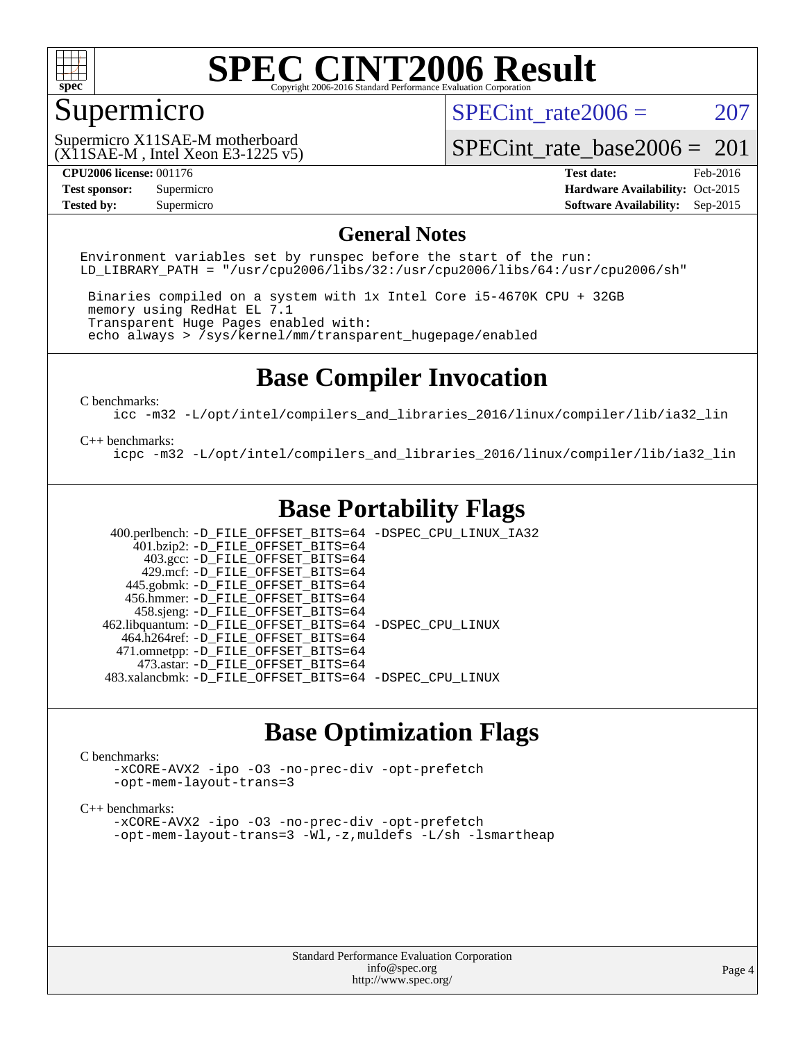

### Supermicro

SPECint rate $2006 = 207$ 

(X11SAE-M , Intel Xeon E3-1225 v5) Supermicro X11SAE-M motherboard

[SPECint\\_rate\\_base2006 =](http://www.spec.org/auto/cpu2006/Docs/result-fields.html#SPECintratebase2006)  $201$ 

**[Tested by:](http://www.spec.org/auto/cpu2006/Docs/result-fields.html#Testedby)** Supermicro **Supermicro [Software Availability:](http://www.spec.org/auto/cpu2006/Docs/result-fields.html#SoftwareAvailability)** Sep-2015

**[CPU2006 license:](http://www.spec.org/auto/cpu2006/Docs/result-fields.html#CPU2006license)** 001176 **[Test date:](http://www.spec.org/auto/cpu2006/Docs/result-fields.html#Testdate)** Feb-2016 **[Test sponsor:](http://www.spec.org/auto/cpu2006/Docs/result-fields.html#Testsponsor)** Supermicro Supermicro **[Hardware Availability:](http://www.spec.org/auto/cpu2006/Docs/result-fields.html#HardwareAvailability)** Oct-2015

### **[General Notes](http://www.spec.org/auto/cpu2006/Docs/result-fields.html#GeneralNotes)**

Environment variables set by runspec before the start of the run: LD LIBRARY PATH = "/usr/cpu2006/libs/32:/usr/cpu2006/libs/64:/usr/cpu2006/sh"

 Binaries compiled on a system with 1x Intel Core i5-4670K CPU + 32GB memory using RedHat EL 7.1 Transparent Huge Pages enabled with: echo always > /sys/kernel/mm/transparent\_hugepage/enabled

### **[Base Compiler Invocation](http://www.spec.org/auto/cpu2006/Docs/result-fields.html#BaseCompilerInvocation)**

[C benchmarks](http://www.spec.org/auto/cpu2006/Docs/result-fields.html#Cbenchmarks):

[icc -m32 -L/opt/intel/compilers\\_and\\_libraries\\_2016/linux/compiler/lib/ia32\\_lin](http://www.spec.org/cpu2006/results/res2016q1/cpu2006-20160307-39285.flags.html#user_CCbase_intel_icc_e10256ba5924b668798078a321b0cb3f)

#### [C++ benchmarks:](http://www.spec.org/auto/cpu2006/Docs/result-fields.html#CXXbenchmarks)

[icpc -m32 -L/opt/intel/compilers\\_and\\_libraries\\_2016/linux/compiler/lib/ia32\\_lin](http://www.spec.org/cpu2006/results/res2016q1/cpu2006-20160307-39285.flags.html#user_CXXbase_intel_icpc_b4f50a394bdb4597aa5879c16bc3f5c5)

### **[Base Portability Flags](http://www.spec.org/auto/cpu2006/Docs/result-fields.html#BasePortabilityFlags)**

 400.perlbench: [-D\\_FILE\\_OFFSET\\_BITS=64](http://www.spec.org/cpu2006/results/res2016q1/cpu2006-20160307-39285.flags.html#user_basePORTABILITY400_perlbench_file_offset_bits_64_438cf9856305ebd76870a2c6dc2689ab) [-DSPEC\\_CPU\\_LINUX\\_IA32](http://www.spec.org/cpu2006/results/res2016q1/cpu2006-20160307-39285.flags.html#b400.perlbench_baseCPORTABILITY_DSPEC_CPU_LINUX_IA32)  $401.bzip2: -D$ FILE\_OFFSET\_BITS=64 403.gcc: [-D\\_FILE\\_OFFSET\\_BITS=64](http://www.spec.org/cpu2006/results/res2016q1/cpu2006-20160307-39285.flags.html#user_basePORTABILITY403_gcc_file_offset_bits_64_438cf9856305ebd76870a2c6dc2689ab) 429.mcf: [-D\\_FILE\\_OFFSET\\_BITS=64](http://www.spec.org/cpu2006/results/res2016q1/cpu2006-20160307-39285.flags.html#user_basePORTABILITY429_mcf_file_offset_bits_64_438cf9856305ebd76870a2c6dc2689ab) 445.gobmk: [-D\\_FILE\\_OFFSET\\_BITS=64](http://www.spec.org/cpu2006/results/res2016q1/cpu2006-20160307-39285.flags.html#user_basePORTABILITY445_gobmk_file_offset_bits_64_438cf9856305ebd76870a2c6dc2689ab) 456.hmmer: [-D\\_FILE\\_OFFSET\\_BITS=64](http://www.spec.org/cpu2006/results/res2016q1/cpu2006-20160307-39285.flags.html#user_basePORTABILITY456_hmmer_file_offset_bits_64_438cf9856305ebd76870a2c6dc2689ab) 458.sjeng: [-D\\_FILE\\_OFFSET\\_BITS=64](http://www.spec.org/cpu2006/results/res2016q1/cpu2006-20160307-39285.flags.html#user_basePORTABILITY458_sjeng_file_offset_bits_64_438cf9856305ebd76870a2c6dc2689ab) 462.libquantum: [-D\\_FILE\\_OFFSET\\_BITS=64](http://www.spec.org/cpu2006/results/res2016q1/cpu2006-20160307-39285.flags.html#user_basePORTABILITY462_libquantum_file_offset_bits_64_438cf9856305ebd76870a2c6dc2689ab) [-DSPEC\\_CPU\\_LINUX](http://www.spec.org/cpu2006/results/res2016q1/cpu2006-20160307-39285.flags.html#b462.libquantum_baseCPORTABILITY_DSPEC_CPU_LINUX) 464.h264ref: [-D\\_FILE\\_OFFSET\\_BITS=64](http://www.spec.org/cpu2006/results/res2016q1/cpu2006-20160307-39285.flags.html#user_basePORTABILITY464_h264ref_file_offset_bits_64_438cf9856305ebd76870a2c6dc2689ab) 471.omnetpp: [-D\\_FILE\\_OFFSET\\_BITS=64](http://www.spec.org/cpu2006/results/res2016q1/cpu2006-20160307-39285.flags.html#user_basePORTABILITY471_omnetpp_file_offset_bits_64_438cf9856305ebd76870a2c6dc2689ab) 473.astar: [-D\\_FILE\\_OFFSET\\_BITS=64](http://www.spec.org/cpu2006/results/res2016q1/cpu2006-20160307-39285.flags.html#user_basePORTABILITY473_astar_file_offset_bits_64_438cf9856305ebd76870a2c6dc2689ab) 483.xalancbmk: [-D\\_FILE\\_OFFSET\\_BITS=64](http://www.spec.org/cpu2006/results/res2016q1/cpu2006-20160307-39285.flags.html#user_basePORTABILITY483_xalancbmk_file_offset_bits_64_438cf9856305ebd76870a2c6dc2689ab) [-DSPEC\\_CPU\\_LINUX](http://www.spec.org/cpu2006/results/res2016q1/cpu2006-20160307-39285.flags.html#b483.xalancbmk_baseCXXPORTABILITY_DSPEC_CPU_LINUX)

### **[Base Optimization Flags](http://www.spec.org/auto/cpu2006/Docs/result-fields.html#BaseOptimizationFlags)**

#### [C benchmarks](http://www.spec.org/auto/cpu2006/Docs/result-fields.html#Cbenchmarks):

[-xCORE-AVX2](http://www.spec.org/cpu2006/results/res2016q1/cpu2006-20160307-39285.flags.html#user_CCbase_f-xAVX2_5f5fc0cbe2c9f62c816d3e45806c70d7) [-ipo](http://www.spec.org/cpu2006/results/res2016q1/cpu2006-20160307-39285.flags.html#user_CCbase_f-ipo) [-O3](http://www.spec.org/cpu2006/results/res2016q1/cpu2006-20160307-39285.flags.html#user_CCbase_f-O3) [-no-prec-div](http://www.spec.org/cpu2006/results/res2016q1/cpu2006-20160307-39285.flags.html#user_CCbase_f-no-prec-div) [-opt-prefetch](http://www.spec.org/cpu2006/results/res2016q1/cpu2006-20160307-39285.flags.html#user_CCbase_f-opt-prefetch) [-opt-mem-layout-trans=3](http://www.spec.org/cpu2006/results/res2016q1/cpu2006-20160307-39285.flags.html#user_CCbase_f-opt-mem-layout-trans_a7b82ad4bd7abf52556d4961a2ae94d5)

#### [C++ benchmarks:](http://www.spec.org/auto/cpu2006/Docs/result-fields.html#CXXbenchmarks)

[-xCORE-AVX2](http://www.spec.org/cpu2006/results/res2016q1/cpu2006-20160307-39285.flags.html#user_CXXbase_f-xAVX2_5f5fc0cbe2c9f62c816d3e45806c70d7) [-ipo](http://www.spec.org/cpu2006/results/res2016q1/cpu2006-20160307-39285.flags.html#user_CXXbase_f-ipo) [-O3](http://www.spec.org/cpu2006/results/res2016q1/cpu2006-20160307-39285.flags.html#user_CXXbase_f-O3) [-no-prec-div](http://www.spec.org/cpu2006/results/res2016q1/cpu2006-20160307-39285.flags.html#user_CXXbase_f-no-prec-div) [-opt-prefetch](http://www.spec.org/cpu2006/results/res2016q1/cpu2006-20160307-39285.flags.html#user_CXXbase_f-opt-prefetch) [-opt-mem-layout-trans=3](http://www.spec.org/cpu2006/results/res2016q1/cpu2006-20160307-39285.flags.html#user_CXXbase_f-opt-mem-layout-trans_a7b82ad4bd7abf52556d4961a2ae94d5) [-Wl,-z,muldefs](http://www.spec.org/cpu2006/results/res2016q1/cpu2006-20160307-39285.flags.html#user_CXXbase_link_force_multiple1_74079c344b956b9658436fd1b6dd3a8a) [-L/sh -lsmartheap](http://www.spec.org/cpu2006/results/res2016q1/cpu2006-20160307-39285.flags.html#user_CXXbase_SmartHeap_32f6c82aa1ed9c52345d30cf6e4a0499)

> Standard Performance Evaluation Corporation [info@spec.org](mailto:info@spec.org) <http://www.spec.org/>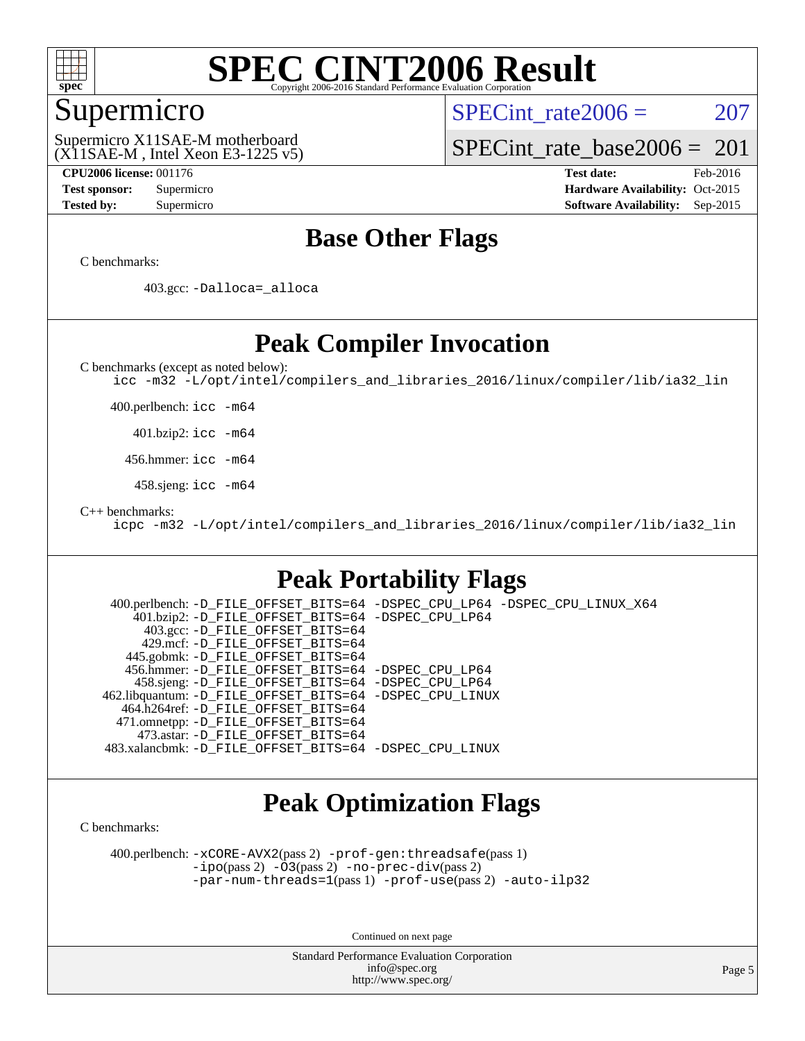

### Supermicro

SPECint rate $2006 = 207$ 

(X11SAE-M , Intel Xeon E3-1225 v5) Supermicro X11SAE-M motherboard

[SPECint\\_rate\\_base2006 =](http://www.spec.org/auto/cpu2006/Docs/result-fields.html#SPECintratebase2006)  $201$ 

**[CPU2006 license:](http://www.spec.org/auto/cpu2006/Docs/result-fields.html#CPU2006license)** 001176 **[Test date:](http://www.spec.org/auto/cpu2006/Docs/result-fields.html#Testdate)** Feb-2016 **[Test sponsor:](http://www.spec.org/auto/cpu2006/Docs/result-fields.html#Testsponsor)** Supermicro Supermicro **[Hardware Availability:](http://www.spec.org/auto/cpu2006/Docs/result-fields.html#HardwareAvailability)** Oct-2015 **[Tested by:](http://www.spec.org/auto/cpu2006/Docs/result-fields.html#Testedby)** Supermicro **Supermicro [Software Availability:](http://www.spec.org/auto/cpu2006/Docs/result-fields.html#SoftwareAvailability)** Sep-2015

### **[Base Other Flags](http://www.spec.org/auto/cpu2006/Docs/result-fields.html#BaseOtherFlags)**

[C benchmarks](http://www.spec.org/auto/cpu2006/Docs/result-fields.html#Cbenchmarks):

403.gcc: [-Dalloca=\\_alloca](http://www.spec.org/cpu2006/results/res2016q1/cpu2006-20160307-39285.flags.html#b403.gcc_baseEXTRA_CFLAGS_Dalloca_be3056838c12de2578596ca5467af7f3)

### **[Peak Compiler Invocation](http://www.spec.org/auto/cpu2006/Docs/result-fields.html#PeakCompilerInvocation)**

[C benchmarks \(except as noted below\)](http://www.spec.org/auto/cpu2006/Docs/result-fields.html#Cbenchmarksexceptasnotedbelow):

[icc -m32 -L/opt/intel/compilers\\_and\\_libraries\\_2016/linux/compiler/lib/ia32\\_lin](http://www.spec.org/cpu2006/results/res2016q1/cpu2006-20160307-39285.flags.html#user_CCpeak_intel_icc_e10256ba5924b668798078a321b0cb3f)

400.perlbench: [icc -m64](http://www.spec.org/cpu2006/results/res2016q1/cpu2006-20160307-39285.flags.html#user_peakCCLD400_perlbench_intel_icc_64bit_bda6cc9af1fdbb0edc3795bac97ada53)

401.bzip2: [icc -m64](http://www.spec.org/cpu2006/results/res2016q1/cpu2006-20160307-39285.flags.html#user_peakCCLD401_bzip2_intel_icc_64bit_bda6cc9af1fdbb0edc3795bac97ada53)

456.hmmer: [icc -m64](http://www.spec.org/cpu2006/results/res2016q1/cpu2006-20160307-39285.flags.html#user_peakCCLD456_hmmer_intel_icc_64bit_bda6cc9af1fdbb0edc3795bac97ada53)

458.sjeng: [icc -m64](http://www.spec.org/cpu2006/results/res2016q1/cpu2006-20160307-39285.flags.html#user_peakCCLD458_sjeng_intel_icc_64bit_bda6cc9af1fdbb0edc3795bac97ada53)

[C++ benchmarks:](http://www.spec.org/auto/cpu2006/Docs/result-fields.html#CXXbenchmarks)

[icpc -m32 -L/opt/intel/compilers\\_and\\_libraries\\_2016/linux/compiler/lib/ia32\\_lin](http://www.spec.org/cpu2006/results/res2016q1/cpu2006-20160307-39285.flags.html#user_CXXpeak_intel_icpc_b4f50a394bdb4597aa5879c16bc3f5c5)

### **[Peak Portability Flags](http://www.spec.org/auto/cpu2006/Docs/result-fields.html#PeakPortabilityFlags)**

 400.perlbench: [-D\\_FILE\\_OFFSET\\_BITS=64](http://www.spec.org/cpu2006/results/res2016q1/cpu2006-20160307-39285.flags.html#user_peakPORTABILITY400_perlbench_file_offset_bits_64_438cf9856305ebd76870a2c6dc2689ab) [-DSPEC\\_CPU\\_LP64](http://www.spec.org/cpu2006/results/res2016q1/cpu2006-20160307-39285.flags.html#b400.perlbench_peakCPORTABILITY_DSPEC_CPU_LP64) [-DSPEC\\_CPU\\_LINUX\\_X64](http://www.spec.org/cpu2006/results/res2016q1/cpu2006-20160307-39285.flags.html#b400.perlbench_peakCPORTABILITY_DSPEC_CPU_LINUX_X64) 401.bzip2: [-D\\_FILE\\_OFFSET\\_BITS=64](http://www.spec.org/cpu2006/results/res2016q1/cpu2006-20160307-39285.flags.html#user_peakPORTABILITY401_bzip2_file_offset_bits_64_438cf9856305ebd76870a2c6dc2689ab) [-DSPEC\\_CPU\\_LP64](http://www.spec.org/cpu2006/results/res2016q1/cpu2006-20160307-39285.flags.html#suite_peakCPORTABILITY401_bzip2_DSPEC_CPU_LP64) 403.gcc: [-D\\_FILE\\_OFFSET\\_BITS=64](http://www.spec.org/cpu2006/results/res2016q1/cpu2006-20160307-39285.flags.html#user_peakPORTABILITY403_gcc_file_offset_bits_64_438cf9856305ebd76870a2c6dc2689ab) 429.mcf: [-D\\_FILE\\_OFFSET\\_BITS=64](http://www.spec.org/cpu2006/results/res2016q1/cpu2006-20160307-39285.flags.html#user_peakPORTABILITY429_mcf_file_offset_bits_64_438cf9856305ebd76870a2c6dc2689ab) 445.gobmk: [-D\\_FILE\\_OFFSET\\_BITS=64](http://www.spec.org/cpu2006/results/res2016q1/cpu2006-20160307-39285.flags.html#user_peakPORTABILITY445_gobmk_file_offset_bits_64_438cf9856305ebd76870a2c6dc2689ab) 456.hmmer: [-D\\_FILE\\_OFFSET\\_BITS=64](http://www.spec.org/cpu2006/results/res2016q1/cpu2006-20160307-39285.flags.html#user_peakPORTABILITY456_hmmer_file_offset_bits_64_438cf9856305ebd76870a2c6dc2689ab) [-DSPEC\\_CPU\\_LP64](http://www.spec.org/cpu2006/results/res2016q1/cpu2006-20160307-39285.flags.html#suite_peakCPORTABILITY456_hmmer_DSPEC_CPU_LP64) 458.sjeng: [-D\\_FILE\\_OFFSET\\_BITS=64](http://www.spec.org/cpu2006/results/res2016q1/cpu2006-20160307-39285.flags.html#user_peakPORTABILITY458_sjeng_file_offset_bits_64_438cf9856305ebd76870a2c6dc2689ab) [-DSPEC\\_CPU\\_LP64](http://www.spec.org/cpu2006/results/res2016q1/cpu2006-20160307-39285.flags.html#suite_peakCPORTABILITY458_sjeng_DSPEC_CPU_LP64) 462.libquantum: [-D\\_FILE\\_OFFSET\\_BITS=64](http://www.spec.org/cpu2006/results/res2016q1/cpu2006-20160307-39285.flags.html#user_peakPORTABILITY462_libquantum_file_offset_bits_64_438cf9856305ebd76870a2c6dc2689ab) [-DSPEC\\_CPU\\_LINUX](http://www.spec.org/cpu2006/results/res2016q1/cpu2006-20160307-39285.flags.html#b462.libquantum_peakCPORTABILITY_DSPEC_CPU_LINUX) 464.h264ref: [-D\\_FILE\\_OFFSET\\_BITS=64](http://www.spec.org/cpu2006/results/res2016q1/cpu2006-20160307-39285.flags.html#user_peakPORTABILITY464_h264ref_file_offset_bits_64_438cf9856305ebd76870a2c6dc2689ab) 471.omnetpp: [-D\\_FILE\\_OFFSET\\_BITS=64](http://www.spec.org/cpu2006/results/res2016q1/cpu2006-20160307-39285.flags.html#user_peakPORTABILITY471_omnetpp_file_offset_bits_64_438cf9856305ebd76870a2c6dc2689ab) 473.astar: [-D\\_FILE\\_OFFSET\\_BITS=64](http://www.spec.org/cpu2006/results/res2016q1/cpu2006-20160307-39285.flags.html#user_peakPORTABILITY473_astar_file_offset_bits_64_438cf9856305ebd76870a2c6dc2689ab) 483.xalancbmk: [-D\\_FILE\\_OFFSET\\_BITS=64](http://www.spec.org/cpu2006/results/res2016q1/cpu2006-20160307-39285.flags.html#user_peakPORTABILITY483_xalancbmk_file_offset_bits_64_438cf9856305ebd76870a2c6dc2689ab) [-DSPEC\\_CPU\\_LINUX](http://www.spec.org/cpu2006/results/res2016q1/cpu2006-20160307-39285.flags.html#b483.xalancbmk_peakCXXPORTABILITY_DSPEC_CPU_LINUX)

### **[Peak Optimization Flags](http://www.spec.org/auto/cpu2006/Docs/result-fields.html#PeakOptimizationFlags)**

[C benchmarks](http://www.spec.org/auto/cpu2006/Docs/result-fields.html#Cbenchmarks):

 400.perlbench: [-xCORE-AVX2](http://www.spec.org/cpu2006/results/res2016q1/cpu2006-20160307-39285.flags.html#user_peakPASS2_CFLAGSPASS2_LDCFLAGS400_perlbench_f-xAVX2_5f5fc0cbe2c9f62c816d3e45806c70d7)(pass 2) [-prof-gen:threadsafe](http://www.spec.org/cpu2006/results/res2016q1/cpu2006-20160307-39285.flags.html#user_peakPASS1_CFLAGSPASS1_LDCFLAGS400_perlbench_prof_gen_21a26eb79f378b550acd7bec9fe4467a)(pass 1) [-ipo](http://www.spec.org/cpu2006/results/res2016q1/cpu2006-20160307-39285.flags.html#user_peakPASS2_CFLAGSPASS2_LDCFLAGS400_perlbench_f-ipo)(pass 2) [-O3](http://www.spec.org/cpu2006/results/res2016q1/cpu2006-20160307-39285.flags.html#user_peakPASS2_CFLAGSPASS2_LDCFLAGS400_perlbench_f-O3)(pass 2) [-no-prec-div](http://www.spec.org/cpu2006/results/res2016q1/cpu2006-20160307-39285.flags.html#user_peakPASS2_CFLAGSPASS2_LDCFLAGS400_perlbench_f-no-prec-div)(pass 2) [-par-num-threads=1](http://www.spec.org/cpu2006/results/res2016q1/cpu2006-20160307-39285.flags.html#user_peakPASS1_CFLAGSPASS1_LDCFLAGS400_perlbench_par_num_threads_786a6ff141b4e9e90432e998842df6c2)(pass 1) [-prof-use](http://www.spec.org/cpu2006/results/res2016q1/cpu2006-20160307-39285.flags.html#user_peakPASS2_CFLAGSPASS2_LDCFLAGS400_perlbench_prof_use_bccf7792157ff70d64e32fe3e1250b55)(pass 2) [-auto-ilp32](http://www.spec.org/cpu2006/results/res2016q1/cpu2006-20160307-39285.flags.html#user_peakCOPTIMIZE400_perlbench_f-auto-ilp32)

Continued on next page

Standard Performance Evaluation Corporation [info@spec.org](mailto:info@spec.org) <http://www.spec.org/>

Page 5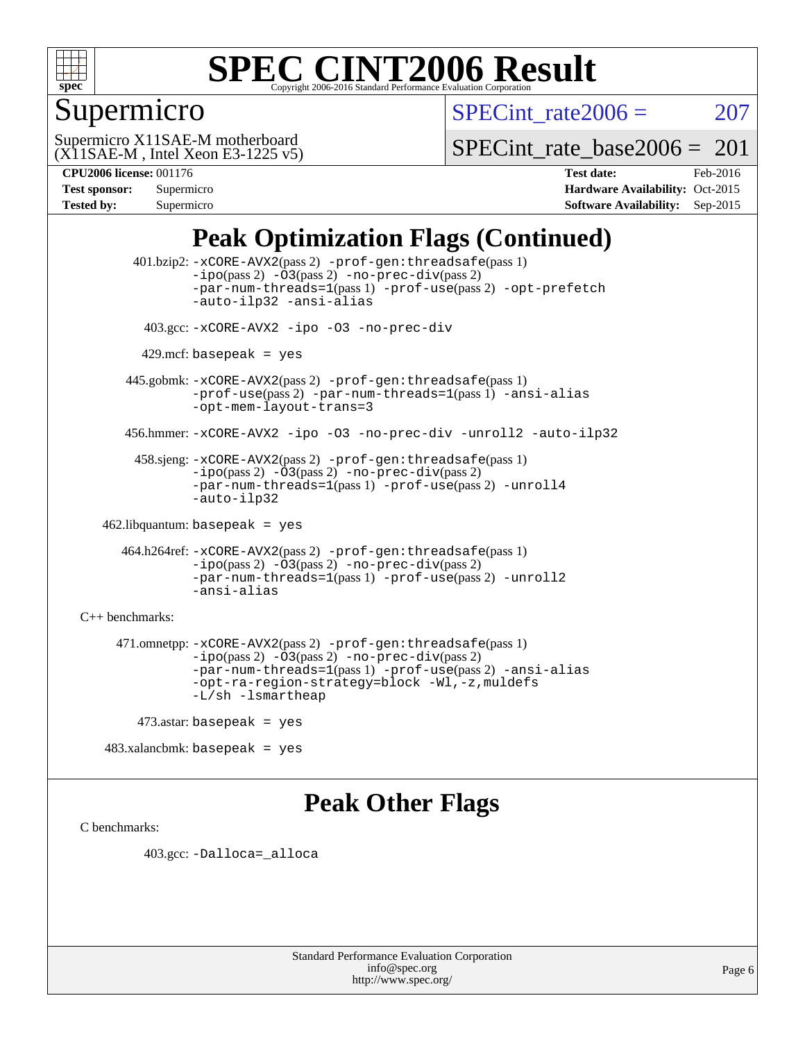

### Supermicro

SPECint rate $2006 = 207$ 

(X11SAE-M , Intel Xeon E3-1225 v5) Supermicro X11SAE-M motherboard

[SPECint\\_rate\\_base2006 =](http://www.spec.org/auto/cpu2006/Docs/result-fields.html#SPECintratebase2006)  $201$ 

| <b>Test sponsor:</b> | Supermicro |
|----------------------|------------|
| <b>Tested by:</b>    | Supermicro |

**[CPU2006 license:](http://www.spec.org/auto/cpu2006/Docs/result-fields.html#CPU2006license)** 001176 **[Test date:](http://www.spec.org/auto/cpu2006/Docs/result-fields.html#Testdate)** Feb-2016 **[Hardware Availability:](http://www.spec.org/auto/cpu2006/Docs/result-fields.html#HardwareAvailability)** Oct-2015 **[Software Availability:](http://www.spec.org/auto/cpu2006/Docs/result-fields.html#SoftwareAvailability)** Sep-2015

### **[Peak Optimization Flags \(Continued\)](http://www.spec.org/auto/cpu2006/Docs/result-fields.html#PeakOptimizationFlags)**

 401.bzip2: [-xCORE-AVX2](http://www.spec.org/cpu2006/results/res2016q1/cpu2006-20160307-39285.flags.html#user_peakPASS2_CFLAGSPASS2_LDCFLAGS401_bzip2_f-xAVX2_5f5fc0cbe2c9f62c816d3e45806c70d7)(pass 2) [-prof-gen:threadsafe](http://www.spec.org/cpu2006/results/res2016q1/cpu2006-20160307-39285.flags.html#user_peakPASS1_CFLAGSPASS1_LDCFLAGS401_bzip2_prof_gen_21a26eb79f378b550acd7bec9fe4467a)(pass 1)  $-i\text{po}(pass 2) -\text{O3}(pass 2)$  [-no-prec-div](http://www.spec.org/cpu2006/results/res2016q1/cpu2006-20160307-39285.flags.html#user_peakPASS2_CFLAGSPASS2_LDCFLAGS401_bzip2_f-no-prec-div)(pass 2) [-par-num-threads=1](http://www.spec.org/cpu2006/results/res2016q1/cpu2006-20160307-39285.flags.html#user_peakPASS1_CFLAGSPASS1_LDCFLAGS401_bzip2_par_num_threads_786a6ff141b4e9e90432e998842df6c2)(pass 1) [-prof-use](http://www.spec.org/cpu2006/results/res2016q1/cpu2006-20160307-39285.flags.html#user_peakPASS2_CFLAGSPASS2_LDCFLAGS401_bzip2_prof_use_bccf7792157ff70d64e32fe3e1250b55)(pass 2) [-opt-prefetch](http://www.spec.org/cpu2006/results/res2016q1/cpu2006-20160307-39285.flags.html#user_peakCOPTIMIZE401_bzip2_f-opt-prefetch) [-auto-ilp32](http://www.spec.org/cpu2006/results/res2016q1/cpu2006-20160307-39285.flags.html#user_peakCOPTIMIZE401_bzip2_f-auto-ilp32) [-ansi-alias](http://www.spec.org/cpu2006/results/res2016q1/cpu2006-20160307-39285.flags.html#user_peakCOPTIMIZE401_bzip2_f-ansi-alias) 403.gcc: [-xCORE-AVX2](http://www.spec.org/cpu2006/results/res2016q1/cpu2006-20160307-39285.flags.html#user_peakCOPTIMIZE403_gcc_f-xAVX2_5f5fc0cbe2c9f62c816d3e45806c70d7) [-ipo](http://www.spec.org/cpu2006/results/res2016q1/cpu2006-20160307-39285.flags.html#user_peakCOPTIMIZE403_gcc_f-ipo) [-O3](http://www.spec.org/cpu2006/results/res2016q1/cpu2006-20160307-39285.flags.html#user_peakCOPTIMIZE403_gcc_f-O3) [-no-prec-div](http://www.spec.org/cpu2006/results/res2016q1/cpu2006-20160307-39285.flags.html#user_peakCOPTIMIZE403_gcc_f-no-prec-div)  $429$ .mcf: basepeak = yes 445.gobmk: [-xCORE-AVX2](http://www.spec.org/cpu2006/results/res2016q1/cpu2006-20160307-39285.flags.html#user_peakPASS2_CFLAGSPASS2_LDCFLAGS445_gobmk_f-xAVX2_5f5fc0cbe2c9f62c816d3e45806c70d7)(pass 2) [-prof-gen:threadsafe](http://www.spec.org/cpu2006/results/res2016q1/cpu2006-20160307-39285.flags.html#user_peakPASS1_CFLAGSPASS1_LDCFLAGS445_gobmk_prof_gen_21a26eb79f378b550acd7bec9fe4467a)(pass 1) [-prof-use](http://www.spec.org/cpu2006/results/res2016q1/cpu2006-20160307-39285.flags.html#user_peakPASS2_CFLAGSPASS2_LDCFLAGS445_gobmk_prof_use_bccf7792157ff70d64e32fe3e1250b55)(pass 2) [-par-num-threads=1](http://www.spec.org/cpu2006/results/res2016q1/cpu2006-20160307-39285.flags.html#user_peakPASS1_CFLAGSPASS1_LDCFLAGS445_gobmk_par_num_threads_786a6ff141b4e9e90432e998842df6c2)(pass 1) [-ansi-alias](http://www.spec.org/cpu2006/results/res2016q1/cpu2006-20160307-39285.flags.html#user_peakCOPTIMIZE445_gobmk_f-ansi-alias) [-opt-mem-layout-trans=3](http://www.spec.org/cpu2006/results/res2016q1/cpu2006-20160307-39285.flags.html#user_peakCOPTIMIZE445_gobmk_f-opt-mem-layout-trans_a7b82ad4bd7abf52556d4961a2ae94d5) 456.hmmer: [-xCORE-AVX2](http://www.spec.org/cpu2006/results/res2016q1/cpu2006-20160307-39285.flags.html#user_peakCOPTIMIZE456_hmmer_f-xAVX2_5f5fc0cbe2c9f62c816d3e45806c70d7) [-ipo](http://www.spec.org/cpu2006/results/res2016q1/cpu2006-20160307-39285.flags.html#user_peakCOPTIMIZE456_hmmer_f-ipo) [-O3](http://www.spec.org/cpu2006/results/res2016q1/cpu2006-20160307-39285.flags.html#user_peakCOPTIMIZE456_hmmer_f-O3) [-no-prec-div](http://www.spec.org/cpu2006/results/res2016q1/cpu2006-20160307-39285.flags.html#user_peakCOPTIMIZE456_hmmer_f-no-prec-div) [-unroll2](http://www.spec.org/cpu2006/results/res2016q1/cpu2006-20160307-39285.flags.html#user_peakCOPTIMIZE456_hmmer_f-unroll_784dae83bebfb236979b41d2422d7ec2) [-auto-ilp32](http://www.spec.org/cpu2006/results/res2016q1/cpu2006-20160307-39285.flags.html#user_peakCOPTIMIZE456_hmmer_f-auto-ilp32) 458.sjeng: [-xCORE-AVX2](http://www.spec.org/cpu2006/results/res2016q1/cpu2006-20160307-39285.flags.html#user_peakPASS2_CFLAGSPASS2_LDCFLAGS458_sjeng_f-xAVX2_5f5fc0cbe2c9f62c816d3e45806c70d7)(pass 2) [-prof-gen:threadsafe](http://www.spec.org/cpu2006/results/res2016q1/cpu2006-20160307-39285.flags.html#user_peakPASS1_CFLAGSPASS1_LDCFLAGS458_sjeng_prof_gen_21a26eb79f378b550acd7bec9fe4467a)(pass 1)  $-i\text{po}(pass 2) -\overline{O}3(pass 2)$  [-no-prec-div](http://www.spec.org/cpu2006/results/res2016q1/cpu2006-20160307-39285.flags.html#user_peakPASS2_CFLAGSPASS2_LDCFLAGS458_sjeng_f-no-prec-div)(pass 2) [-par-num-threads=1](http://www.spec.org/cpu2006/results/res2016q1/cpu2006-20160307-39285.flags.html#user_peakPASS1_CFLAGSPASS1_LDCFLAGS458_sjeng_par_num_threads_786a6ff141b4e9e90432e998842df6c2)(pass 1) [-prof-use](http://www.spec.org/cpu2006/results/res2016q1/cpu2006-20160307-39285.flags.html#user_peakPASS2_CFLAGSPASS2_LDCFLAGS458_sjeng_prof_use_bccf7792157ff70d64e32fe3e1250b55)(pass 2) [-unroll4](http://www.spec.org/cpu2006/results/res2016q1/cpu2006-20160307-39285.flags.html#user_peakCOPTIMIZE458_sjeng_f-unroll_4e5e4ed65b7fd20bdcd365bec371b81f) [-auto-ilp32](http://www.spec.org/cpu2006/results/res2016q1/cpu2006-20160307-39285.flags.html#user_peakCOPTIMIZE458_sjeng_f-auto-ilp32) 462.libquantum: basepeak = yes 464.h264ref: [-xCORE-AVX2](http://www.spec.org/cpu2006/results/res2016q1/cpu2006-20160307-39285.flags.html#user_peakPASS2_CFLAGSPASS2_LDCFLAGS464_h264ref_f-xAVX2_5f5fc0cbe2c9f62c816d3e45806c70d7)(pass 2) [-prof-gen:threadsafe](http://www.spec.org/cpu2006/results/res2016q1/cpu2006-20160307-39285.flags.html#user_peakPASS1_CFLAGSPASS1_LDCFLAGS464_h264ref_prof_gen_21a26eb79f378b550acd7bec9fe4467a)(pass 1) [-ipo](http://www.spec.org/cpu2006/results/res2016q1/cpu2006-20160307-39285.flags.html#user_peakPASS2_CFLAGSPASS2_LDCFLAGS464_h264ref_f-ipo)(pass 2) [-O3](http://www.spec.org/cpu2006/results/res2016q1/cpu2006-20160307-39285.flags.html#user_peakPASS2_CFLAGSPASS2_LDCFLAGS464_h264ref_f-O3)(pass 2) [-no-prec-div](http://www.spec.org/cpu2006/results/res2016q1/cpu2006-20160307-39285.flags.html#user_peakPASS2_CFLAGSPASS2_LDCFLAGS464_h264ref_f-no-prec-div)(pass 2) [-par-num-threads=1](http://www.spec.org/cpu2006/results/res2016q1/cpu2006-20160307-39285.flags.html#user_peakPASS1_CFLAGSPASS1_LDCFLAGS464_h264ref_par_num_threads_786a6ff141b4e9e90432e998842df6c2)(pass 1) [-prof-use](http://www.spec.org/cpu2006/results/res2016q1/cpu2006-20160307-39285.flags.html#user_peakPASS2_CFLAGSPASS2_LDCFLAGS464_h264ref_prof_use_bccf7792157ff70d64e32fe3e1250b55)(pass 2) [-unroll2](http://www.spec.org/cpu2006/results/res2016q1/cpu2006-20160307-39285.flags.html#user_peakCOPTIMIZE464_h264ref_f-unroll_784dae83bebfb236979b41d2422d7ec2) [-ansi-alias](http://www.spec.org/cpu2006/results/res2016q1/cpu2006-20160307-39285.flags.html#user_peakCOPTIMIZE464_h264ref_f-ansi-alias) [C++ benchmarks:](http://www.spec.org/auto/cpu2006/Docs/result-fields.html#CXXbenchmarks) 471.omnetpp: [-xCORE-AVX2](http://www.spec.org/cpu2006/results/res2016q1/cpu2006-20160307-39285.flags.html#user_peakPASS2_CXXFLAGSPASS2_LDCXXFLAGS471_omnetpp_f-xAVX2_5f5fc0cbe2c9f62c816d3e45806c70d7)(pass 2) [-prof-gen:threadsafe](http://www.spec.org/cpu2006/results/res2016q1/cpu2006-20160307-39285.flags.html#user_peakPASS1_CXXFLAGSPASS1_LDCXXFLAGS471_omnetpp_prof_gen_21a26eb79f378b550acd7bec9fe4467a)(pass 1)  $-ipo(pass 2) -\overline{03(pass 2)}$  $-ipo(pass 2) -\overline{03(pass 2)}$  [-no-prec-div](http://www.spec.org/cpu2006/results/res2016q1/cpu2006-20160307-39285.flags.html#user_peakPASS2_CXXFLAGSPASS2_LDCXXFLAGS471_omnetpp_f-no-prec-div)(pass 2) [-par-num-threads=1](http://www.spec.org/cpu2006/results/res2016q1/cpu2006-20160307-39285.flags.html#user_peakPASS1_CXXFLAGSPASS1_LDCXXFLAGS471_omnetpp_par_num_threads_786a6ff141b4e9e90432e998842df6c2)(pass 1) [-prof-use](http://www.spec.org/cpu2006/results/res2016q1/cpu2006-20160307-39285.flags.html#user_peakPASS2_CXXFLAGSPASS2_LDCXXFLAGS471_omnetpp_prof_use_bccf7792157ff70d64e32fe3e1250b55)(pass 2) [-ansi-alias](http://www.spec.org/cpu2006/results/res2016q1/cpu2006-20160307-39285.flags.html#user_peakCXXOPTIMIZE471_omnetpp_f-ansi-alias) [-opt-ra-region-strategy=block](http://www.spec.org/cpu2006/results/res2016q1/cpu2006-20160307-39285.flags.html#user_peakCXXOPTIMIZE471_omnetpp_f-opt-ra-region-strategy_a0a37c372d03933b2a18d4af463c1f69) [-Wl,-z,muldefs](http://www.spec.org/cpu2006/results/res2016q1/cpu2006-20160307-39285.flags.html#user_peakEXTRA_LDFLAGS471_omnetpp_link_force_multiple1_74079c344b956b9658436fd1b6dd3a8a) [-L/sh -lsmartheap](http://www.spec.org/cpu2006/results/res2016q1/cpu2006-20160307-39285.flags.html#user_peakEXTRA_LIBS471_omnetpp_SmartHeap_32f6c82aa1ed9c52345d30cf6e4a0499) 473.astar: basepeak = yes

483.xalancbmk: basepeak = yes

### **[Peak Other Flags](http://www.spec.org/auto/cpu2006/Docs/result-fields.html#PeakOtherFlags)**

[C benchmarks](http://www.spec.org/auto/cpu2006/Docs/result-fields.html#Cbenchmarks):

403.gcc: [-Dalloca=\\_alloca](http://www.spec.org/cpu2006/results/res2016q1/cpu2006-20160307-39285.flags.html#b403.gcc_peakEXTRA_CFLAGS_Dalloca_be3056838c12de2578596ca5467af7f3)